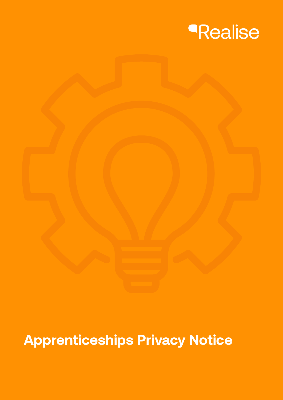

# **Apprenticeships Privacy Notice**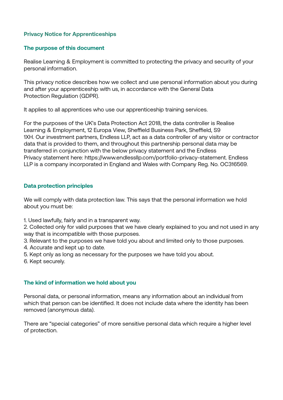# **Privacy Notice for Apprenticeships**

## **The purpose of this document**

Realise Learning & Employment is committed to protecting the privacy and security of your personal information.

This privacy notice describes how we collect and use personal information about you during and after your apprenticeship with us, in accordance with the General Data Protection Regulation (GDPR).

It applies to all apprentices who use our apprenticeship training services.

For the purposes of the UK's Data Protection Act 2018, the data controller is Realise Learning & Employment, 12 Europa View, Sheffield Business Park, Sheffield, S9 1XH. Our investment partners, Endless LLP, act as a data controller of any visitor or contractor data that is provided to them, and throughout this partnership personal data may be transferred in conjunction with the below privacy statement and the Endless Privacy statement here: https://www.endlessllp.com/portfolio-privacy-statement. Endless LLP is a company incorporated in England and Wales with Company Reg. No. OC316569.

#### **Data protection principles**

We will comply with data protection law. This says that the personal information we hold about you must be:

1. Used lawfully, fairly and in a transparent way.

2. Collected only for valid purposes that we have clearly explained to you and not used in any way that is incompatible with those purposes.

- 3. Relevant to the purposes we have told you about and limited only to those purposes.
- 4. Accurate and kept up to date.
- 5. Kept only as long as necessary for the purposes we have told you about.
- 6. Kept securely.

#### **The kind of information we hold about you**

Personal data, or personal information, means any information about an individual from which that person can be identified. It does not include data where the identity has been removed (anonymous data).

There are "special categories" of more sensitive personal data which require a higher level of protection.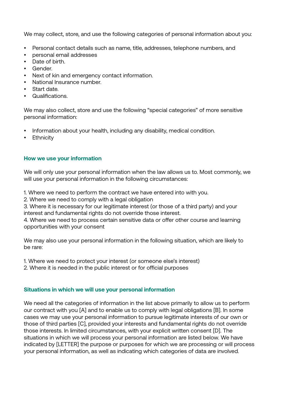We may collect, store, and use the following categories of personal information about you:

- Personal contact details such as name, title, addresses, telephone numbers, and
- personal email addresses
- Date of birth.
- Gender.
- Next of kin and emergency contact information.
- National Insurance number.
- Start date.
- Qualifications.

We may also collect, store and use the following "special categories" of more sensitive personal information:

- Information about your health, including any disability, medical condition.
- Ethnicity

## **How we use your information**

We will only use your personal information when the law allows us to. Most commonly, we will use your personal information in the following circumstances:

1. Where we need to perform the contract we have entered into with you.

2. Where we need to comply with a legal obligation

3. Where it is necessary for our legitimate interest (or those of a third party) and your interest and fundamental rights do not override those interest.

4. Where we need to process certain sensitive data or offer other course and learning opportunities with your consent

We may also use your personal information in the following situation, which are likely to be rare:

- 1. Where we need to protect your interest (or someone else's interest)
- 2. Where it is needed in the public interest or for official purposes

## **Situations in which we will use your personal information**

We need all the categories of information in the list above primarily to allow us to perform our contract with you [A] and to enable us to comply with legal obligations [B]. In some cases we may use your personal information to pursue legitimate interests of our own or those of third parties [C], provided your interests and fundamental rights do not override those interests. In limited circumstances, with your explicit written consent [D]. The situations in which we will process your personal information are listed below. We have indicated by [LETTER] the purpose or purposes for which we are processing or will process your personal information, as well as indicating which categories of data are involved.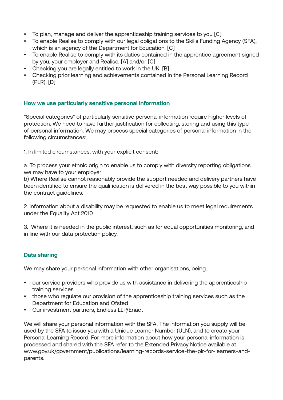- To plan, manage and deliver the apprenticeship training services to you [C]
- To enable Realise to comply with our legal obligations to the Skills Funding Agency (SFA), which is an agency of the Department for Education. [C]
- To enable Realise to comply with its duties contained in the apprentice agreement signed by you, your employer and Realise. [A] and/or [C]
- Checking you are legally entitled to work in the UK. [B]
- Checking prior learning and achievements contained in the Personal Learning Record (PLR). [D]

# **How we use particularly sensitive personal information**

"Special categories" of particularly sensitive personal information require higher levels of protection. We need to have further justification for collecting, storing and using this type of personal information. We may process special categories of personal information in the following circumstances:

1. In limited circumstances, with your explicit consent:

a. To process your ethnic origin to enable us to comply with diversity reporting obligations we may have to your employer

b) Where Realise cannot reasonably provide the support needed and delivery partners have been identified to ensure the qualification is delivered in the best way possible to you within the contract guidelines.

2. Information about a disability may be requested to enable us to meet legal requirements under the Equality Act 2010.

3. Where it is needed in the public interest, such as for equal opportunities monitoring, and in line with our data protection policy.

# **Data sharing**

We may share your personal information with other organisations, being:

- our service providers who provide us with assistance in delivering the apprenticeship training services
- those who regulate our provision of the apprenticeship training services such as the Department for Education and Ofsted
- Our investment partners, Endless LLP/Enact

We will share your personal information with the SFA. The information you supply will be used by the SFA to issue you with a Unique Learner Number (ULN), and to create your Personal Learning Record. For more information about how your personal information is processed and shared with the SFA refer to the Extended Privacy Notice available at: www.gov.uk/government/publications/learning-records-service-the-plr-for-learners-andparents.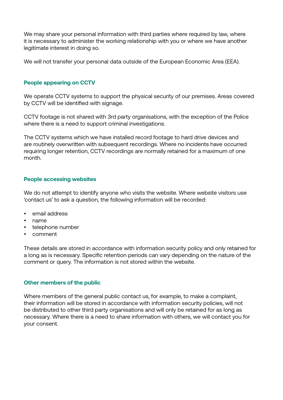We may share your personal information with third parties where required by law, where it is necessary to administer the working relationship with you or where we have another legitimate interest in doing so.

We will not transfer your personal data outside of the European Economic Area (EEA).

## **People appearing on CCTV**

We operate CCTV systems to support the physical security of our premises. Areas covered by CCTV will be identified with signage.

CCTV footage is not shared with 3rd party organisations, with the exception of the Police where there is a need to support criminal investigations.

The CCTV systems which we have installed record footage to hard drive devices and are routinely overwritten with subsequent recordings. Where no incidents have occurred requiring longer retention, CCTV recordings are normally retained for a maximum of one month.

### **People accessing websites**

We do not attempt to identify anyone who visits the website. Where website visitors use 'contact us' to ask a question, the following information will be recorded:

- email address
- name
- telephone number
- comment

These details are stored in accordance with information security policy and only retained for a long as is necessary. Specific retention periods can vary depending on the nature of the comment or query. The information is not stored within the website.

## **Other members of the public**

Where members of the general public contact us, for example, to make a complaint, their information will be stored in accordance with information security policies, will not be distributed to other third party organisations and will only be retained for as long as necessary. Where there is a need to share information with others, we will contact you for your consent.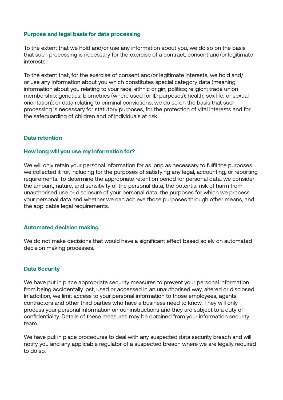## **Purpose and legal basis for data processing**

To the extent that we hold and/or use any information about you, we do so on the basis that such processing is necessary for the exercise of a contract, consent and/or legitimate interests.

To the extent that, for the exercise of consent and/or legitimate interests, we hold and/ or use any information about you which constitutes special category data (meaning information about you relating to your race; ethnic origin; politics; religion; trade union membership; genetics; biometrics (where used for ID purposes); health; sex life; or sexual orientation), or data relating to criminal convictions, we do so on the basis that such processing is necessary for statutory purposes, for the protection of vital interests and for the safeguarding of children and of individuals at risk.

### **Data retention**

#### **How long will you use my information for?**

We will only retain your personal information for as long as necessary to fulfil the purposes we collected it for, including for the purposes of satisfying any legal, accounting, or reporting requirements. To determine the appropriate retention period for personal data, we consider the amount, nature, and sensitivity of the personal data, the potential risk of harm from unauthorised use or disclosure of your personal data, the purposes for which we process your personal data and whether we can achieve those purposes through other means, and the applicable legal requirements.

#### **Automated decision making**

We do not make decisions that would have a significant effect based solely on automated decision making processes.

#### **Data Security**

We have put in place appropriate security measures to prevent your personal information from being accidentally lost, used or accessed in an unauthorised way, altered or disclosed. In addition, we limit access to your personal information to those employees, agents, contractors and other third parties who have a business need to know. They will only process your personal information on our instructions and they are subject to a duty of confidentiality. Details of these measures may be obtained from your information security team.

We have put in place procedures to deal with any suspected data security breach and will notify you and any applicable regulator of a suspected breach where we are legally required to do so.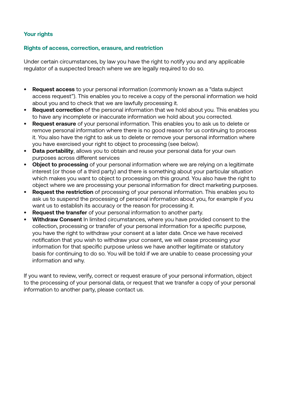# **Your rights**

## **Rights of access, correction, erasure, and restriction**

Under certain circumstances, by law you have the right to notify you and any applicable regulator of a suspected breach where we are legally required to do so.

- **• Request access** to your personal information (commonly known as a "data subject access request"). This enables you to receive a copy of the personal information we hold about you and to check that we are lawfully processing it.
- **• Request correction** of the personal information that we hold about you. This enables you to have any incomplete or inaccurate information we hold about you corrected.
- **• Request erasure** of your personal information. This enables you to ask us to delete or remove personal information where there is no good reason for us continuing to process it. You also have the right to ask us to delete or remove your personal information where you have exercised your right to object to processing (see below).
- **• Data portability**, allows you to obtain and reuse your personal data for your own purposes across different services
- **• Object to processing** of your personal information where we are relying on a legitimate interest (or those of a third party) and there is something about your particular situation which makes you want to object to processing on this ground. You also have the right to object where we are processing your personal information for direct marketing purposes.
- **• Request the restriction** of processing of your personal information. This enables you to ask us to suspend the processing of personal information about you, for example if you want us to establish its accuracy or the reason for processing it.
- **• Request the transfer** of your personal information to another party.
- **• Withdraw Consent** In limited circumstances, where you have provided consent to the collection, processing or transfer of your personal information for a specific purpose, you have the right to withdraw your consent at a later date. Once we have received notification that you wish to withdraw your consent, we will cease processing your information for that specific purpose unless we have another legitimate or statutory basis for continuing to do so. You will be told if we are unable to cease processing your information and why.

If you want to review, verify, correct or request erasure of your personal information, object to the processing of your personal data, or request that we transfer a copy of your personal information to another party, please contact us.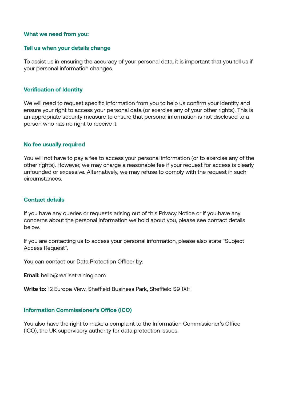#### **What we need from you:**

#### **Tell us when your details change**

To assist us in ensuring the accuracy of your personal data, it is important that you tell us if your personal information changes.

## **Verification of Identity**

We will need to request specific information from you to help us confirm your identity and ensure your right to access your personal data (or exercise any of your other rights). This is an appropriate security measure to ensure that personal information is not disclosed to a person who has no right to receive it.

#### **No fee usually required**

You will not have to pay a fee to access your personal information (or to exercise any of the other rights). However, we may charge a reasonable fee if your request for access is clearly unfounded or excessive. Alternatively, we may refuse to comply with the request in such circumstances.

#### **Contact details**

If you have any queries or requests arising out of this Privacy Notice or if you have any concerns about the personal information we hold about you, please see contact details below.

If you are contacting us to access your personal information, please also state "Subject Access Request".

You can contact our Data Protection Officer by:

**Email:** hello@realisetraining.com

**Write to:** 12 Europa View, Sheffield Business Park, Sheffield S9 1XH

#### **Information Commissioner's Office (ICO)**

You also have the right to make a complaint to the Information Commissioner's Office (ICO), the UK supervisory authority for data protection issues.